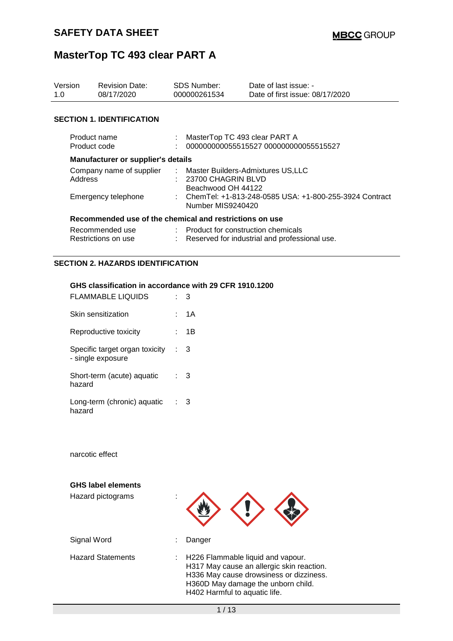| Version<br>1.0                                             | <b>Revision Date:</b><br>08/17/2020                     |  | SDS Number:<br>000000261534                                                                                                                     | Date of last issue: -<br>Date of first issue: 08/17/2020 |  |
|------------------------------------------------------------|---------------------------------------------------------|--|-------------------------------------------------------------------------------------------------------------------------------------------------|----------------------------------------------------------|--|
|                                                            | <b>SECTION 1. IDENTIFICATION</b>                        |  |                                                                                                                                                 |                                                          |  |
| Product name<br>Product code                               |                                                         |  | MasterTop TC 493 clear PART A                                                                                                                   | 000000000055515527 000000000055515527                    |  |
| Manufacturer or supplier's details                         |                                                         |  |                                                                                                                                                 |                                                          |  |
| Company name of supplier<br>Address<br>Emergency telephone |                                                         |  | : Master Builders-Admixtures US,LLC<br>$: 23700$ CHAGRIN BLVD<br>Beachwood OH 44122<br>: ChemTel: +1-813-248-0585 USA: +1-800-255-3924 Contract |                                                          |  |
|                                                            | Recommended use of the chemical and restrictions on use |  | Number MIS9240420                                                                                                                               |                                                          |  |
|                                                            | Recommended use<br>Restrictions on use                  |  | : Product for construction chemicals                                                                                                            | : Reserved for industrial and professional use.          |  |

#### **SECTION 2. HAZARDS IDENTIFICATION**

#### **GHS classification in accordance with 29 CFR 1910.1200**

| FLAMMABLE LIQUIDS                                   |      |    |
|-----------------------------------------------------|------|----|
| Skin sensitization                                  |      | 1Α |
| Reproductive toxicity                               |      | 1B |
| Specific target organ toxicity<br>- single exposure | ÷.   | 3  |
| Short-term (acute) aquatic<br>hazard                | t in | 3  |
| Long-term (chronic) aquatic<br>hazard               |      | З  |

narcotic effect

| <b>GHS label elements</b><br>Hazard pictograms | ٠                                                                                                                                                                                                |  |
|------------------------------------------------|--------------------------------------------------------------------------------------------------------------------------------------------------------------------------------------------------|--|
| Signal Word                                    | Danger                                                                                                                                                                                           |  |
| <b>Hazard Statements</b>                       | H226 Flammable liquid and vapour.<br>H317 May cause an allergic skin reaction.<br>H336 May cause drowsiness or dizziness.<br>H360D May damage the unborn child.<br>H402 Harmful to aquatic life. |  |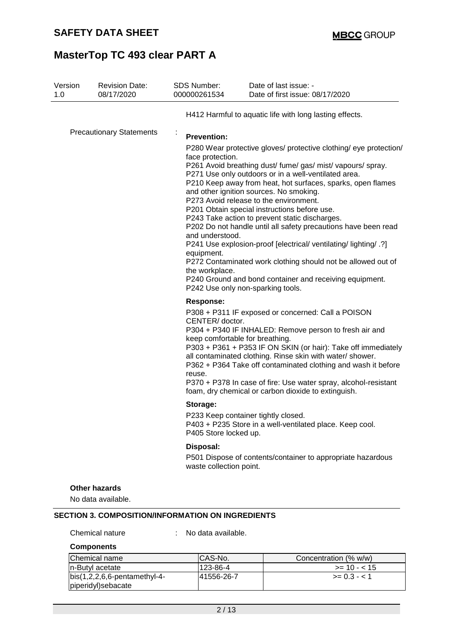| Version<br>1.0                  | <b>Revision Date:</b><br>08/17/2020        | SDS Number:<br>000000261534                                                                     | Date of last issue: -<br>Date of first issue: 08/17/2020                                                                                                                                                                                                                                                                                                                                                                                                                                                                                                                                                                                                                                                                                             |  |
|---------------------------------|--------------------------------------------|-------------------------------------------------------------------------------------------------|------------------------------------------------------------------------------------------------------------------------------------------------------------------------------------------------------------------------------------------------------------------------------------------------------------------------------------------------------------------------------------------------------------------------------------------------------------------------------------------------------------------------------------------------------------------------------------------------------------------------------------------------------------------------------------------------------------------------------------------------------|--|
|                                 |                                            |                                                                                                 | H412 Harmful to aquatic life with long lasting effects.                                                                                                                                                                                                                                                                                                                                                                                                                                                                                                                                                                                                                                                                                              |  |
| <b>Precautionary Statements</b> |                                            | ×,<br><b>Prevention:</b><br>face protection.<br>and understood.<br>equipment.<br>the workplace. | P280 Wear protective gloves/ protective clothing/ eye protection/<br>P261 Avoid breathing dust/ fume/ gas/ mist/ vapours/ spray.<br>P271 Use only outdoors or in a well-ventilated area.<br>P210 Keep away from heat, hot surfaces, sparks, open flames<br>and other ignition sources. No smoking.<br>P273 Avoid release to the environment.<br>P201 Obtain special instructions before use.<br>P243 Take action to prevent static discharges.<br>P202 Do not handle until all safety precautions have been read<br>P241 Use explosion-proof [electrical/ ventilating/ lighting/ .?]<br>P272 Contaminated work clothing should not be allowed out of<br>P240 Ground and bond container and receiving equipment.<br>P242 Use only non-sparking tools. |  |
|                                 |                                            | <b>Response:</b><br>CENTER/ doctor.<br>keep comfortable for breathing.<br>reuse.                | P308 + P311 IF exposed or concerned: Call a POISON<br>P304 + P340 IF INHALED: Remove person to fresh air and<br>P303 + P361 + P353 IF ON SKIN (or hair): Take off immediately<br>all contaminated clothing. Rinse skin with water/ shower.<br>P362 + P364 Take off contaminated clothing and wash it before<br>P370 + P378 In case of fire: Use water spray, alcohol-resistant<br>foam, dry chemical or carbon dioxide to extinguish.                                                                                                                                                                                                                                                                                                                |  |
|                                 |                                            | Storage:<br>P405 Store locked up.                                                               | P233 Keep container tightly closed<br>P403 + P235 Store in a well-ventilated place. Keep cool.                                                                                                                                                                                                                                                                                                                                                                                                                                                                                                                                                                                                                                                       |  |
|                                 |                                            | Disposal:<br>waste collection point.                                                            | P501 Dispose of contents/container to appropriate hazardous                                                                                                                                                                                                                                                                                                                                                                                                                                                                                                                                                                                                                                                                                          |  |
|                                 | <b>Other hazards</b><br>No data available. |                                                                                                 |                                                                                                                                                                                                                                                                                                                                                                                                                                                                                                                                                                                                                                                                                                                                                      |  |

#### Chemical nature : No data available.

#### **Components**

| Chemical name                  | ICAS-No.    | Concentration (% w/w) |
|--------------------------------|-------------|-----------------------|
| In-Butyl acetate               | 123-86-4    | $>= 10 - 15$          |
| $bis(1,2,2,6,6-pentamethyl-4-$ | 141556-26-7 | $>= 0.3 - 1$          |
| piperidyl)sebacate             |             |                       |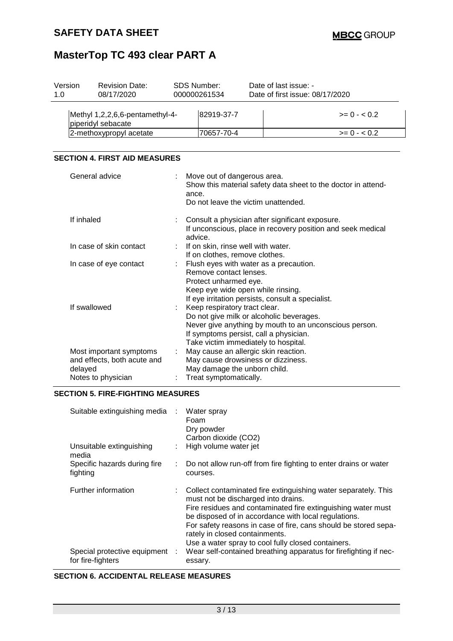| Version<br>1.0 | <b>Revision Date:</b><br>08/17/2020                   | SDS Number:<br>000000261534 | Date of last issue: -<br>Date of first issue: 08/17/2020 |
|----------------|-------------------------------------------------------|-----------------------------|----------------------------------------------------------|
|                | Methyl 1,2,2,6,6-pentamethyl-4-<br>piperidyl sebacate | 82919-37-7                  | $>= 0 - 0.2$                                             |
|                | 2-methoxypropyl acetate                               | 70657-70-4                  | $>= 0 - 0.2$                                             |
|                |                                                       |                             |                                                          |

#### **SECTION 4. FIRST AID MEASURES**

| General advice                                                                          | Move out of dangerous area.<br>Show this material safety data sheet to the doctor in attend-<br>ance.<br>Do not leave the victim unattended.                                                                          |
|-----------------------------------------------------------------------------------------|-----------------------------------------------------------------------------------------------------------------------------------------------------------------------------------------------------------------------|
| If inhaled                                                                              | Consult a physician after significant exposure.<br>If unconscious, place in recovery position and seek medical<br>advice.                                                                                             |
| In case of skin contact                                                                 | If on skin, rinse well with water.<br>If on clothes, remove clothes.                                                                                                                                                  |
| In case of eye contact                                                                  | Flush eyes with water as a precaution.<br>Remove contact lenses.<br>Protect unharmed eye.<br>Keep eye wide open while rinsing.<br>If eye irritation persists, consult a specialist.                                   |
| If swallowed                                                                            | Keep respiratory tract clear.<br>Do not give milk or alcoholic beverages.<br>Never give anything by mouth to an unconscious person.<br>If symptoms persist, call a physician.<br>Take victim immediately to hospital. |
| Most important symptoms<br>and effects, both acute and<br>delayed<br>Notes to physician | May cause an allergic skin reaction.<br>May cause drowsiness or dizziness.<br>May damage the unborn child.<br>Treat symptomatically.                                                                                  |

#### **SECTION 5. FIRE-FIGHTING MEASURES**

| Suitable extinguishing media :                      | Water spray<br>Foam<br>Dry powder<br>Carbon dioxide (CO2)                                                                                                                                                                                                                                                                                                                                |
|-----------------------------------------------------|------------------------------------------------------------------------------------------------------------------------------------------------------------------------------------------------------------------------------------------------------------------------------------------------------------------------------------------------------------------------------------------|
| Unsuitable extinguishing<br>media                   | : High volume water jet                                                                                                                                                                                                                                                                                                                                                                  |
| Specific hazards during fire<br>fighting            | Do not allow run-off from fire fighting to enter drains or water<br>courses.                                                                                                                                                                                                                                                                                                             |
| Further information                                 | Collect contaminated fire extinguishing water separately. This<br>must not be discharged into drains.<br>Fire residues and contaminated fire extinguishing water must<br>be disposed of in accordance with local regulations.<br>For safety reasons in case of fire, cans should be stored sepa-<br>rately in closed containments.<br>Use a water spray to cool fully closed containers. |
| Special protective equipment :<br>for fire-fighters | Wear self-contained breathing apparatus for firefighting if nec-<br>essary.                                                                                                                                                                                                                                                                                                              |

#### **SECTION 6. ACCIDENTAL RELEASE MEASURES**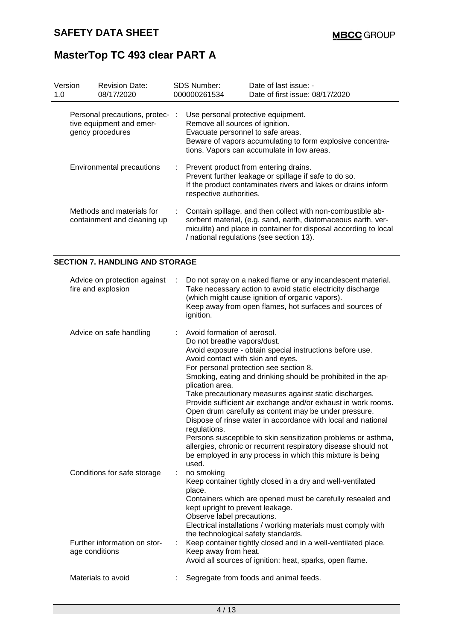| Version<br>1.0 | <b>Revision Date:</b><br>08/17/2020                                             |    | SDS Number:<br>000000261534                                                                                | Date of last issue: -<br>Date of first issue: 08/17/2020                                                                                                                                                                                     |
|----------------|---------------------------------------------------------------------------------|----|------------------------------------------------------------------------------------------------------------|----------------------------------------------------------------------------------------------------------------------------------------------------------------------------------------------------------------------------------------------|
|                | Personal precautions, protec- :<br>tive equipment and emer-<br>gency procedures |    | Use personal protective equipment.<br>Remove all sources of ignition.<br>Evacuate personnel to safe areas. | Beware of vapors accumulating to form explosive concentra-<br>tions. Vapors can accumulate in low areas.                                                                                                                                     |
|                | <b>Environmental precautions</b>                                                | ÷. | respective authorities.                                                                                    | Prevent product from entering drains.<br>Prevent further leakage or spillage if safe to do so.<br>If the product contaminates rivers and lakes or drains inform                                                                              |
|                | Methods and materials for<br>containment and cleaning up                        |    |                                                                                                            | Contain spillage, and then collect with non-combustible ab-<br>sorbent material, (e.g. sand, earth, diatomaceous earth, ver-<br>miculite) and place in container for disposal according to local<br>/ national regulations (see section 13). |

#### **SECTION 7. HANDLING AND STORAGE**

| Advice on protection against<br>fire and explosion |   | Do not spray on a naked flame or any incandescent material.<br>Take necessary action to avoid static electricity discharge<br>(which might cause ignition of organic vapors).<br>Keep away from open flames, hot surfaces and sources of<br>ignition.                                                                                                                                                                                                                                                                                                                                                                                                                                                                                                                 |
|----------------------------------------------------|---|-----------------------------------------------------------------------------------------------------------------------------------------------------------------------------------------------------------------------------------------------------------------------------------------------------------------------------------------------------------------------------------------------------------------------------------------------------------------------------------------------------------------------------------------------------------------------------------------------------------------------------------------------------------------------------------------------------------------------------------------------------------------------|
| Advice on safe handling                            |   | Avoid formation of aerosol.<br>Do not breathe vapors/dust.<br>Avoid exposure - obtain special instructions before use.<br>Avoid contact with skin and eyes.<br>For personal protection see section 8.<br>Smoking, eating and drinking should be prohibited in the ap-<br>plication area.<br>Take precautionary measures against static discharges.<br>Provide sufficient air exchange and/or exhaust in work rooms.<br>Open drum carefully as content may be under pressure.<br>Dispose of rinse water in accordance with local and national<br>regulations.<br>Persons susceptible to skin sensitization problems or asthma,<br>allergies, chronic or recurrent respiratory disease should not<br>be employed in any process in which this mixture is being<br>used. |
| Conditions for safe storage                        |   | no smoking<br>Keep container tightly closed in a dry and well-ventilated<br>place.<br>Containers which are opened must be carefully resealed and<br>kept upright to prevent leakage.<br>Observe label precautions.<br>Electrical installations / working materials must comply with<br>the technological safety standards.                                                                                                                                                                                                                                                                                                                                                                                                                                            |
| Further information on stor-<br>age conditions     | ÷ | Keep container tightly closed and in a well-ventilated place.<br>Keep away from heat.<br>Avoid all sources of ignition: heat, sparks, open flame.                                                                                                                                                                                                                                                                                                                                                                                                                                                                                                                                                                                                                     |
| Materials to avoid                                 |   | Segregate from foods and animal feeds.                                                                                                                                                                                                                                                                                                                                                                                                                                                                                                                                                                                                                                                                                                                                |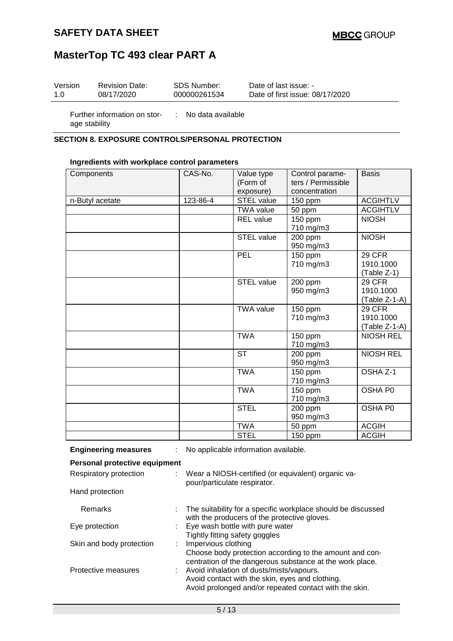### **SAFETY DATA SHEET**

## **MasterTop TC 493 clear PART A**

| Version | <b>Revision Date:</b>                             | SDS Number:                    | Date of last issue: -           |
|---------|---------------------------------------------------|--------------------------------|---------------------------------|
| 1.0     | 08/17/2020                                        | 000000261534                   | Date of first issue: 08/17/2020 |
|         | For the second service state of the service state | الملمان ويتمر والملواط المنابذ |                                 |

age stability

Further information on stor-: No data available

#### **SECTION 8. EXPOSURE CONTROLS/PERSONAL PROTECTION**

#### **Ingredients with workplace control parameters**

| Components      | CAS-No.  | Value type             | Control parame-      | <b>Basis</b>     |
|-----------------|----------|------------------------|----------------------|------------------|
|                 |          |                        |                      |                  |
|                 |          | (Form of               | ters / Permissible   |                  |
|                 |          | exposure)              | concentration        |                  |
| n-Butyl acetate | 123-86-4 | <b>STEL value</b>      | $150$ ppm            | <b>ACGIHTLV</b>  |
|                 |          | <b>TWA value</b>       | 50 ppm               | <b>ACGIHTLV</b>  |
|                 |          | <b>REL</b> value       | 150 ppm              | <b>NIOSH</b>     |
|                 |          |                        | 710 mg/m3            |                  |
|                 |          | <b>STEL value</b>      | 200 ppm              | <b>NIOSH</b>     |
|                 |          |                        | 950 mg/m3            |                  |
|                 |          | PEL                    | 150 ppm              | 29 CFR           |
|                 |          |                        | 710 mg/m3            | 1910.1000        |
|                 |          |                        |                      | (Table Z-1)      |
|                 |          | STEL value             | 200 ppm              | <b>29 CFR</b>    |
|                 |          |                        | 950 mg/m3            | 1910.1000        |
|                 |          |                        |                      | $(Table Z-1-A)$  |
|                 |          | <b>TWA value</b>       | $\overline{1}50$ ppm | 29 CFR           |
|                 |          |                        | 710 mg/m3            | 1910.1000        |
|                 |          |                        |                      | (Table Z-1-A)    |
|                 |          | <b>TWA</b>             | 150 ppm              | <b>NIOSH REL</b> |
|                 |          |                        | 710 mg/m3            |                  |
|                 |          | $\overline{\text{ST}}$ | 200 ppm              | <b>NIOSH REL</b> |
|                 |          |                        | 950 mg/m3            |                  |
|                 |          | <b>TWA</b>             | 150 ppm              | OSHA Z-1         |
|                 |          |                        | 710 mg/m3            |                  |
|                 |          | <b>TWA</b>             | 150 ppm              | OSHA P0          |
|                 |          |                        | 710 mg/m3            |                  |
|                 |          | <b>STEL</b>            | 200 ppm              | OSHA P0          |
|                 |          |                        | 950 mg/m3            |                  |
|                 |          | <b>TWA</b>             | 50 ppm               | <b>ACGIH</b>     |
|                 |          | <b>STEL</b>            | 150 ppm              | <b>ACGIH</b>     |

**Engineering measures** : No applicable information available.

#### **Personal protective equipment**

| Respiratory protection   | : Wear a NIOSH-certified (or equivalent) organic va-<br>pour/particulate respirator.                                                                    |
|--------------------------|---------------------------------------------------------------------------------------------------------------------------------------------------------|
| Hand protection          |                                                                                                                                                         |
| <b>Remarks</b>           | : The suitability for a specific workplace should be discussed<br>with the producers of the protective gloves.                                          |
| Eye protection           | : Eye wash bottle with pure water<br>Tightly fitting safety goggles                                                                                     |
| Skin and body protection | : Impervious clothing<br>Choose body protection according to the amount and con-<br>centration of the dangerous substance at the work place.            |
| Protective measures      | : Avoid inhalation of dusts/mists/vapours.<br>Avoid contact with the skin, eyes and clothing.<br>Avoid prolonged and/or repeated contact with the skin. |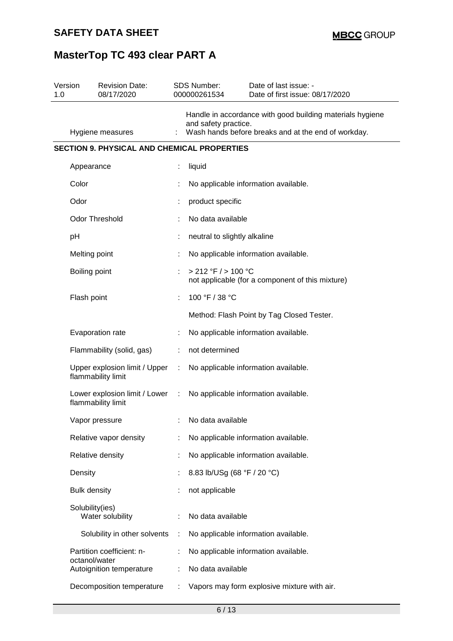| 1.0 | Version             | <b>Revision Date:</b><br>08/17/2020                   |    | SDS Number:<br>000000261534  | Date of last issue: -<br>Date of first issue: 08/17/2020                                                         |
|-----|---------------------|-------------------------------------------------------|----|------------------------------|------------------------------------------------------------------------------------------------------------------|
|     |                     | Hygiene measures                                      |    | and safety practice.         | Handle in accordance with good building materials hygiene<br>Wash hands before breaks and at the end of workday. |
|     |                     | <b>SECTION 9. PHYSICAL AND CHEMICAL PROPERTIES</b>    |    |                              |                                                                                                                  |
|     | Appearance          |                                                       |    | liquid                       |                                                                                                                  |
|     | Color               |                                                       |    |                              | No applicable information available.                                                                             |
|     | Odor                |                                                       |    | product specific             |                                                                                                                  |
|     |                     | Odor Threshold                                        |    | No data available            |                                                                                                                  |
|     | pH                  |                                                       |    | neutral to slightly alkaline |                                                                                                                  |
|     | Melting point       |                                                       |    |                              | No applicable information available.                                                                             |
|     | Boiling point       |                                                       |    | > 212 °F / > 100 °C          | not applicable (for a component of this mixture)                                                                 |
|     | Flash point         |                                                       |    | 100 °F / 38 °C               |                                                                                                                  |
|     |                     |                                                       |    |                              | Method: Flash Point by Tag Closed Tester.                                                                        |
|     |                     | Evaporation rate                                      |    |                              | No applicable information available.                                                                             |
|     |                     | Flammability (solid, gas)                             | ÷. | not determined               |                                                                                                                  |
|     |                     | Upper explosion limit / Upper<br>flammability limit   | ÷  |                              | No applicable information available.                                                                             |
|     |                     | Lower explosion limit / Lower :<br>flammability limit |    |                              | No applicable information available.                                                                             |
|     |                     | Vapor pressure                                        |    | No data available            |                                                                                                                  |
|     |                     | Relative vapor density                                |    |                              | No applicable information available.                                                                             |
|     |                     | Relative density                                      |    |                              | No applicable information available.                                                                             |
|     | Density             |                                                       |    | 8.83 lb/USg (68 °F / 20 °C)  |                                                                                                                  |
|     | <b>Bulk density</b> |                                                       |    | not applicable               |                                                                                                                  |
|     | Solubility(ies)     | Water solubility                                      |    | No data available            |                                                                                                                  |
|     |                     | Solubility in other solvents                          |    |                              | No applicable information available.                                                                             |
|     | octanol/water       | Partition coefficient: n-                             |    |                              | No applicable information available.                                                                             |
|     |                     | Autoignition temperature                              |    | No data available            |                                                                                                                  |
|     |                     | Decomposition temperature                             |    |                              | Vapors may form explosive mixture with air.                                                                      |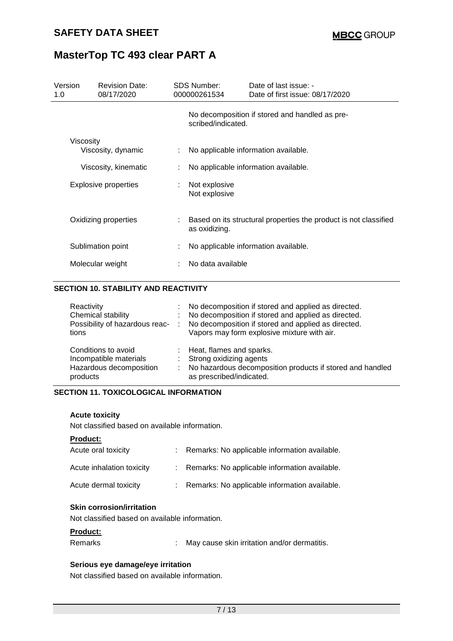| Version<br>1.0 | <b>Revision Date:</b><br>08/17/2020        | <b>SDS Number:</b><br>000000261534 | Date of last issue: -<br>Date of first issue: 08/17/2020                     |
|----------------|--------------------------------------------|------------------------------------|------------------------------------------------------------------------------|
|                |                                            | scribed/indicated.                 | No decomposition if stored and handled as pre-                               |
| Viscosity      | Viscosity, dynamic<br>Viscosity, kinematic |                                    | No applicable information available.<br>No applicable information available. |
|                | <b>Explosive properties</b>                | Not explosive<br>Not explosive     |                                                                              |
|                | Oxidizing properties                       | as oxidizing.                      | Based on its structural properties the product is not classified             |
|                | Sublimation point                          |                                    | No applicable information available.                                         |
|                | Molecular weight                           | No data available                  |                                                                              |

#### **SECTION 10. STABILITY AND REACTIVITY**

| Reactivity<br>Chemical stability<br>Possibility of hazardous reac-<br>tions          | ÷.<br><b>100</b> | : No decomposition if stored and applied as directed.<br>No decomposition if stored and applied as directed.<br>No decomposition if stored and applied as directed.<br>Vapors may form explosive mixture with air. |
|--------------------------------------------------------------------------------------|------------------|--------------------------------------------------------------------------------------------------------------------------------------------------------------------------------------------------------------------|
| Conditions to avoid<br>Incompatible materials<br>Hazardous decomposition<br>products | ÷.               | Heat, flames and sparks.<br>Strong oxidizing agents<br>No hazardous decomposition products if stored and handled<br>as prescribed/indicated.                                                                       |

#### **SECTION 11. TOXICOLOGICAL INFORMATION**

#### **Acute toxicity**

Not classified based on available information.

#### **Product:**

| Acute oral toxicity       | : Remarks: No applicable information available. |
|---------------------------|-------------------------------------------------|
| Acute inhalation toxicity | : Remarks: No applicable information available. |
| Acute dermal toxicity     | : Remarks: No applicable information available. |

#### **Skin corrosion/irritation**

Not classified based on available information.

#### **Product:**

| Remarks |  | May cause skin irritation and/or dermatitis. |
|---------|--|----------------------------------------------|
|---------|--|----------------------------------------------|

#### **Serious eye damage/eye irritation**

Not classified based on available information.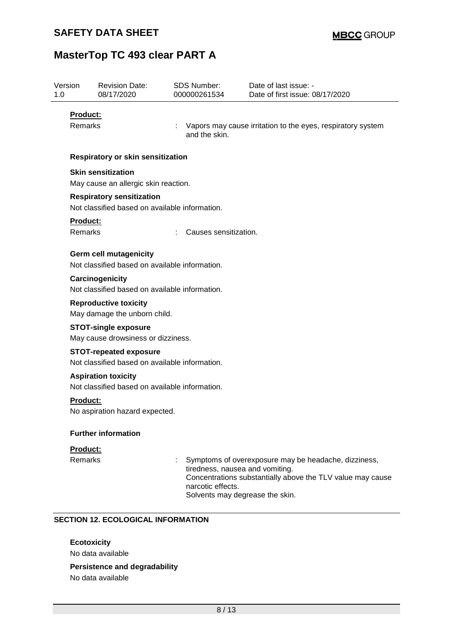| Version<br>1.0                                               | <b>Revision Date:</b><br>08/17/2020                                                | <b>SDS Number:</b><br>000000261534 | Date of last issue: -<br>Date of first issue: 08/17/2020                                                                                                                                 |  |
|--------------------------------------------------------------|------------------------------------------------------------------------------------|------------------------------------|------------------------------------------------------------------------------------------------------------------------------------------------------------------------------------------|--|
| <b>Product:</b><br>Remarks                                   |                                                                                    | and the skin.                      | Vapors may cause irritation to the eyes, respiratory system                                                                                                                              |  |
|                                                              | Respiratory or skin sensitization                                                  |                                    |                                                                                                                                                                                          |  |
|                                                              | <b>Skin sensitization</b><br>May cause an allergic skin reaction.                  |                                    |                                                                                                                                                                                          |  |
|                                                              | <b>Respiratory sensitization</b><br>Not classified based on available information. |                                    |                                                                                                                                                                                          |  |
| Product:<br><b>Remarks</b>                                   |                                                                                    |                                    | Causes sensitization.                                                                                                                                                                    |  |
|                                                              | <b>Germ cell mutagenicity</b><br>Not classified based on available information.    |                                    |                                                                                                                                                                                          |  |
|                                                              | Carcinogenicity<br>Not classified based on available information.                  |                                    |                                                                                                                                                                                          |  |
| <b>Reproductive toxicity</b><br>May damage the unborn child. |                                                                                    |                                    |                                                                                                                                                                                          |  |
|                                                              | <b>STOT-single exposure</b><br>May cause drowsiness or dizziness.                  |                                    |                                                                                                                                                                                          |  |
|                                                              | <b>STOT-repeated exposure</b><br>Not classified based on available information.    |                                    |                                                                                                                                                                                          |  |
|                                                              | <b>Aspiration toxicity</b><br>Not classified based on available information.       |                                    |                                                                                                                                                                                          |  |
| <b>Product:</b>                                              | No aspiration hazard expected.                                                     |                                    |                                                                                                                                                                                          |  |
|                                                              | <b>Further information</b>                                                         |                                    |                                                                                                                                                                                          |  |
| Product:<br><b>Remarks</b>                                   |                                                                                    | narcotic effects.                  | Symptoms of overexposure may be headache, dizziness,<br>tiredness, nausea and vomiting.<br>Concentrations substantially above the TLV value may cause<br>Solvents may degrease the skin. |  |

**Ecotoxicity** No data available

**Persistence and degradability**

No data available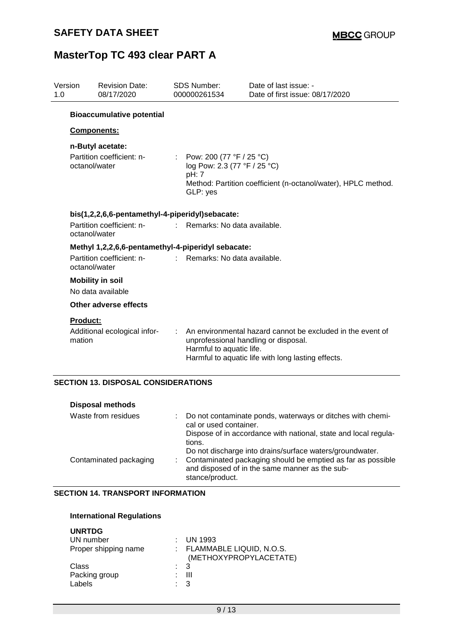| Version<br>1.0 |                                            | <b>Revision Date:</b><br>08/17/2020                |                               | <b>SDS Number:</b><br>000000261534                                                                                          | Date of last issue: -<br>Date of first issue: 08/17/2020                                                                                                 |  |
|----------------|--------------------------------------------|----------------------------------------------------|-------------------------------|-----------------------------------------------------------------------------------------------------------------------------|----------------------------------------------------------------------------------------------------------------------------------------------------------|--|
|                |                                            | <b>Bioaccumulative potential</b>                   |                               |                                                                                                                             |                                                                                                                                                          |  |
|                | Components:                                |                                                    |                               |                                                                                                                             |                                                                                                                                                          |  |
|                |                                            | n-Butyl acetate:                                   |                               |                                                                                                                             |                                                                                                                                                          |  |
|                | Partition coefficient: n-<br>octanol/water |                                                    | pH: 7<br>GLP: yes             | : Pow: 200 (77 °F / 25 °C)<br>log Pow: 2.3 (77 °F / 25 °C)<br>Method: Partition coefficient (n-octanol/water), HPLC method. |                                                                                                                                                          |  |
|                |                                            | bis(1,2,2,6,6-pentamethyl-4-piperidyl)sebacate:    |                               |                                                                                                                             |                                                                                                                                                          |  |
|                | octanol/water                              | Partition coefficient: n-                          | : Remarks: No data available. |                                                                                                                             |                                                                                                                                                          |  |
|                |                                            | Methyl 1,2,2,6,6-pentamethyl-4-piperidyl sebacate: |                               |                                                                                                                             |                                                                                                                                                          |  |
|                | octanol/water                              | Partition coefficient: n-                          |                               | $\therefore$ Remarks: No data available.                                                                                    |                                                                                                                                                          |  |
|                |                                            | <b>Mobility in soil</b>                            |                               |                                                                                                                             |                                                                                                                                                          |  |
|                |                                            | No data available                                  |                               |                                                                                                                             |                                                                                                                                                          |  |
|                |                                            | Other adverse effects                              |                               |                                                                                                                             |                                                                                                                                                          |  |
|                | <b>Product:</b>                            |                                                    |                               |                                                                                                                             |                                                                                                                                                          |  |
|                | mation                                     | Additional ecological infor-                       |                               | Harmful to aquatic life.                                                                                                    | An environmental hazard cannot be excluded in the event of<br>unprofessional handling or disposal.<br>Harmful to aquatic life with long lasting effects. |  |

#### **SECTION 13. DISPOSAL CONSIDERATIONS**

| <b>Disposal methods</b> |                                                                                                                                       |
|-------------------------|---------------------------------------------------------------------------------------------------------------------------------------|
| Waste from residues     | Do not contaminate ponds, waterways or ditches with chemi-<br>cal or used container.                                                  |
|                         | Dispose of in accordance with national, state and local regula-<br>tions.<br>Do not discharge into drains/surface waters/groundwater. |
| Contaminated packaging  | Contaminated packaging should be emptied as far as possible<br>and disposed of in the same manner as the sub-<br>stance/product.      |

### **SECTION 14. TRANSPORT INFORMATION**

#### **International Regulations**

| <b>UNRTDG</b>        |    |                                                      |
|----------------------|----|------------------------------------------------------|
| UN number            |    | $\therefore$ UN 1993                                 |
| Proper shipping name |    | : FLAMMABLE LIQUID, N.O.S.<br>(METHOXYPROPYLACETATE) |
| Class                |    | : 3                                                  |
| Packing group        | t. | Ш                                                    |
| Labels               |    | $\therefore$ 3                                       |
|                      |    |                                                      |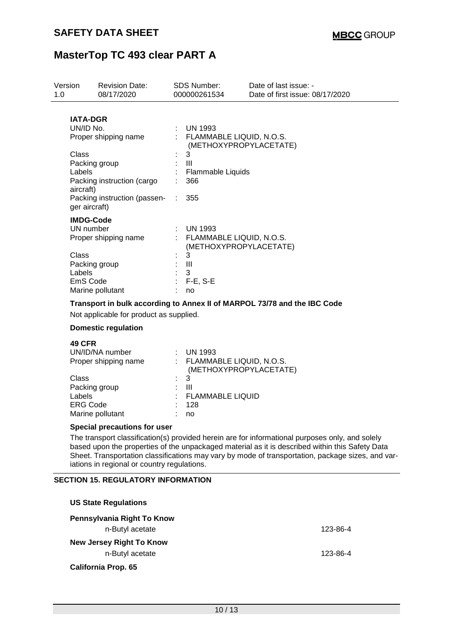| Version<br>1.0 | <b>Revision Date:</b><br>08/17/2020                                                                                                                                                                        | <b>SDS Number:</b><br>000000261534                                                                     | Date of last issue: -<br>Date of first issue: 08/17/2020                                                                                                                                                                                                                                                |
|----------------|------------------------------------------------------------------------------------------------------------------------------------------------------------------------------------------------------------|--------------------------------------------------------------------------------------------------------|---------------------------------------------------------------------------------------------------------------------------------------------------------------------------------------------------------------------------------------------------------------------------------------------------------|
|                | <b>IATA-DGR</b><br>UN/ID No.<br>Proper shipping name<br>Class<br>Packing group<br>Labels<br>Packing instruction (cargo<br>aircraft)<br>Packing instruction (passen- :<br>ger aircraft)<br><b>IMDG-Code</b> | <b>UN 1993</b><br>: FLAMMABLE LIQUID, N.O.S.<br>3<br>$\mathbf{III}$<br>Flammable Liquids<br>366<br>355 | (METHOXYPROPYLACETATE)                                                                                                                                                                                                                                                                                  |
|                | UN number<br>Proper shipping name<br>Class<br>Packing group<br>Labels<br>EmS Code<br>Marine pollutant                                                                                                      | : UN 1993<br>: FLAMMABLE LIQUID, N.O.S.<br>3<br>$\mathbf{III}$<br>3<br>F-E, S-E<br>no                  | (METHOXYPROPYLACETATE)                                                                                                                                                                                                                                                                                  |
|                | Not applicable for product as supplied.<br><b>Domestic regulation</b>                                                                                                                                      |                                                                                                        | Transport in bulk according to Annex II of MARPOL 73/78 and the IBC Code                                                                                                                                                                                                                                |
|                | <b>49 CFR</b><br>UN/ID/NA number<br>Proper shipping name<br>Class<br>Packing group<br>Labels<br><b>ERG Code</b><br>Marine pollutant                                                                        | $:$ UN 1993<br>FLAMMABLE LIQUID, N.O.S.<br>3<br>$\mathbf{III}$<br><b>FLAMMABLE LIQUID</b><br>128<br>no | (METHOXYPROPYLACETATE)                                                                                                                                                                                                                                                                                  |
|                | <b>Special precautions for user</b>                                                                                                                                                                        |                                                                                                        |                                                                                                                                                                                                                                                                                                         |
|                | iations in regional or country regulations.                                                                                                                                                                |                                                                                                        | The transport classification(s) provided herein are for informational purposes only, and solely<br>based upon the properties of the unpackaged material as it is described within this Safety Data<br>Sheet. Transportation classifications may vary by mode of transportation, package sizes, and var- |
|                | <b>SECTION 15. REGULATORY INFORMATION</b>                                                                                                                                                                  |                                                                                                        |                                                                                                                                                                                                                                                                                                         |
|                | <b>US State Regulations</b>                                                                                                                                                                                |                                                                                                        |                                                                                                                                                                                                                                                                                                         |
|                | Pennsylvania Right To Know                                                                                                                                                                                 |                                                                                                        |                                                                                                                                                                                                                                                                                                         |
|                | n-Butyl acetate                                                                                                                                                                                            |                                                                                                        | 123-86-4                                                                                                                                                                                                                                                                                                |

**New Jersey Right To Know** n-Butyl acetate 123-86-4 **California Prop. 65**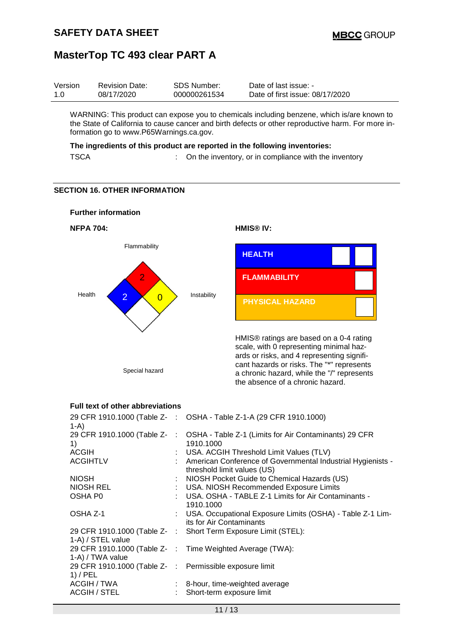| Version | <b>Revision Date:</b> | SDS Number:  | Date of last issue: -           |
|---------|-----------------------|--------------|---------------------------------|
| 1.0     | 08/17/2020            | 000000261534 | Date of first issue: 08/17/2020 |

WARNING: This product can expose you to chemicals including benzene, which is/are known to the State of California to cause cancer and birth defects or other reproductive harm. For more information go to www.P65Warnings.ca.gov.

#### **The ingredients of this product are reported in the following inventories:**

TSCA : On the inventory, or in compliance with the inventory

#### **SECTION 16. OTHER INFORMATION**



#### **Full text of other abbreviations**

| $1-A$                                                                 | 29 CFR 1910.1000 (Table Z- : OSHA - Table Z-1-A (29 CFR 1910.1000)                              |
|-----------------------------------------------------------------------|-------------------------------------------------------------------------------------------------|
| 1)                                                                    | 29 CFR 1910.1000 (Table Z- : OSHA - Table Z-1 (Limits for Air Contaminants) 29 CFR<br>1910.1000 |
| <b>ACGIH</b>                                                          | : USA. ACGIH Threshold Limit Values (TLV)                                                       |
| <b>ACGIHTLV</b>                                                       | : American Conference of Governmental Industrial Hygienists -<br>threshold limit values (US)    |
| <b>NIOSH</b>                                                          | : NIOSH Pocket Guide to Chemical Hazards (US)                                                   |
| NIOSH REL                                                             | : USA. NIOSH Recommended Exposure Limits                                                        |
| OSHA P0                                                               | : USA. OSHA - TABLE Z-1 Limits for Air Contaminants -<br>1910.1000                              |
| OSHA Z-1                                                              | : USA. Occupational Exposure Limits (OSHA) - Table Z-1 Lim-<br>its for Air Contaminants         |
|                                                                       | 29 CFR 1910.1000 (Table Z-: Short Term Exposure Limit (STEL):                                   |
| 1-A) / STEL value                                                     |                                                                                                 |
| 1-A) / TWA value                                                      | 29 CFR 1910.1000 (Table Z- : Time Weighted Average (TWA):                                       |
| 29 CFR 1910.1000 (Table Z- : Permissible exposure limit<br>$1)$ / PEL |                                                                                                 |
| ACGIH / TWA<br>ACGIH / STEL                                           | $\therefore$ 8-hour, time-weighted average<br>Short-term exposure limit                         |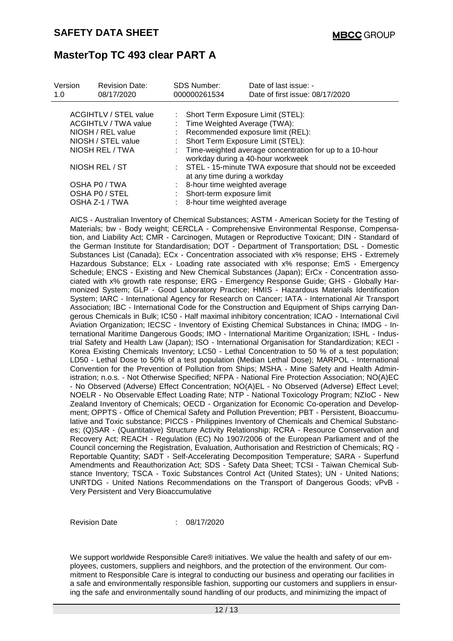| Version<br>1.0 | <b>Revision Date:</b><br>08/17/2020                                       | <b>SDS Number:</b><br>000000261534                                  | Date of last issue: -<br>Date of first issue: 08/17/2020                                       |
|----------------|---------------------------------------------------------------------------|---------------------------------------------------------------------|------------------------------------------------------------------------------------------------|
|                | <b>ACGIHTLV / STEL value</b><br>ACGIHTLV / TWA value<br>NIOSH / REL value | : Short Term Exposure Limit (STEL):<br>Time Weighted Average (TWA): | : Recommended exposure limit (REL):                                                            |
|                | NIOSH / STEL value                                                        | : Short Term Exposure Limit (STEL):                                 |                                                                                                |
|                | NIOSH REL / TWA                                                           |                                                                     | : Time-weighted average concentration for up to a 10-hour<br>workday during a 40-hour workweek |
|                | NIOSH REL / ST                                                            | at any time during a workday                                        | : STEL - 15-minute TWA exposure that should not be exceeded                                    |
|                | OSHA P0 / TWA                                                             | : 8-hour time weighted average                                      |                                                                                                |
|                | OSHA PO / STEL                                                            | Short-term exposure limit                                           |                                                                                                |
|                | OSHA Z-1 / TWA                                                            | : 8-hour time weighted average                                      |                                                                                                |

AICS - Australian Inventory of Chemical Substances; ASTM - American Society for the Testing of Materials; bw - Body weight; CERCLA - Comprehensive Environmental Response, Compensation, and Liability Act; CMR - Carcinogen, Mutagen or Reproductive Toxicant; DIN - Standard of the German Institute for Standardisation; DOT - Department of Transportation; DSL - Domestic Substances List (Canada); ECx - Concentration associated with x% response; EHS - Extremely Hazardous Substance; ELx - Loading rate associated with x% response; EmS - Emergency Schedule; ENCS - Existing and New Chemical Substances (Japan); ErCx - Concentration associated with x% growth rate response; ERG - Emergency Response Guide; GHS - Globally Harmonized System; GLP - Good Laboratory Practice; HMIS - Hazardous Materials Identification System; IARC - International Agency for Research on Cancer; IATA - International Air Transport Association; IBC - International Code for the Construction and Equipment of Ships carrying Dangerous Chemicals in Bulk; IC50 - Half maximal inhibitory concentration; ICAO - International Civil Aviation Organization; IECSC - Inventory of Existing Chemical Substances in China; IMDG - International Maritime Dangerous Goods; IMO - International Maritime Organization; ISHL - Industrial Safety and Health Law (Japan); ISO - International Organisation for Standardization; KECI - Korea Existing Chemicals Inventory; LC50 - Lethal Concentration to 50 % of a test population; LD50 - Lethal Dose to 50% of a test population (Median Lethal Dose); MARPOL - International Convention for the Prevention of Pollution from Ships; MSHA - Mine Safety and Health Administration; n.o.s. - Not Otherwise Specified; NFPA - National Fire Protection Association; NO(A)EC - No Observed (Adverse) Effect Concentration; NO(A)EL - No Observed (Adverse) Effect Level; NOELR - No Observable Effect Loading Rate; NTP - National Toxicology Program; NZIoC - New Zealand Inventory of Chemicals; OECD - Organization for Economic Co-operation and Development; OPPTS - Office of Chemical Safety and Pollution Prevention; PBT - Persistent, Bioaccumulative and Toxic substance; PICCS - Philippines Inventory of Chemicals and Chemical Substances; (Q)SAR - (Quantitative) Structure Activity Relationship; RCRA - Resource Conservation and Recovery Act; REACH - Regulation (EC) No 1907/2006 of the European Parliament and of the Council concerning the Registration, Evaluation, Authorisation and Restriction of Chemicals; RQ - Reportable Quantity; SADT - Self-Accelerating Decomposition Temperature; SARA - Superfund Amendments and Reauthorization Act; SDS - Safety Data Sheet; TCSI - Taiwan Chemical Substance Inventory; TSCA - Toxic Substances Control Act (United States); UN - United Nations; UNRTDG - United Nations Recommendations on the Transport of Dangerous Goods; vPvB - Very Persistent and Very Bioaccumulative

Revision Date : 08/17/2020

We support worldwide Responsible Care® initiatives. We value the health and safety of our employees, customers, suppliers and neighbors, and the protection of the environment. Our commitment to Responsible Care is integral to conducting our business and operating our facilities in a safe and environmentally responsible fashion, supporting our customers and suppliers in ensuring the safe and environmentally sound handling of our products, and minimizing the impact of